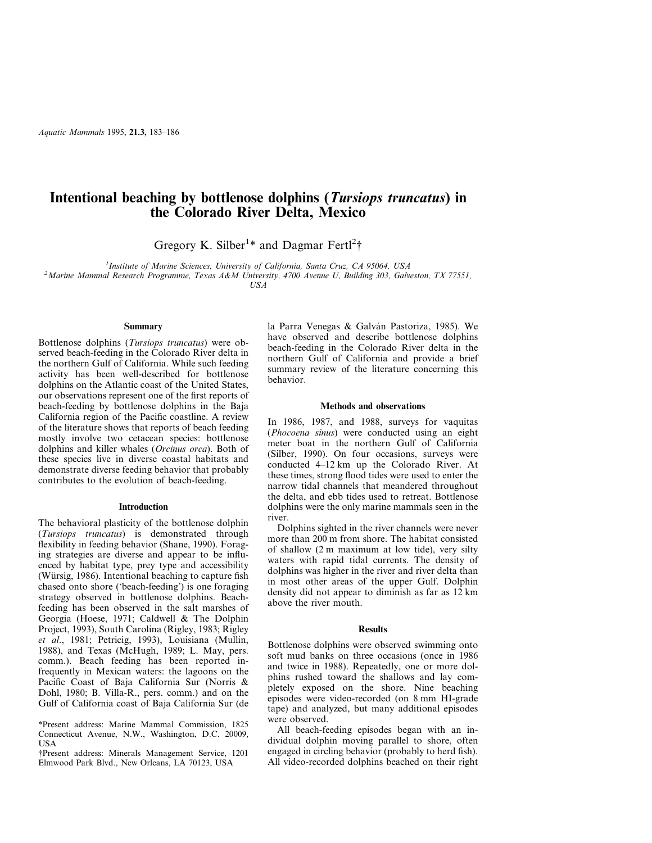# **Intentional beaching by bottlenose dolphins (***Tursiops truncatus***) in the Colorado River Delta, Mexico**

Gregory K. Silber<sup>1\*</sup> and Dagmar Fertl<sup>2</sup>†

<sup>1</sup> Institute of Marine Sciences, University of California, Santa Cruz, CA 95064, USA *Institute of Marine Sciences, University of California, Santa Cruz, CA 95064, USA <sup>2</sup> Marine Mammal Research Programme, Texas A&M University, 4700 Avenue U, Building 303, Galveston, TX 77551,*

*USA*

### **Summary**

Bottlenose dolphins (*Tursiops truncatus*) were observed beach-feeding in the Colorado River delta in the northern Gulf of California. While such feeding activity has been well-described for bottlenose dolphins on the Atlantic coast of the United States, our observations represent one of the first reports of beach-feeding by bottlenose dolphins in the Baja California region of the Pacific coastline. A review of the literature shows that reports of beach feeding mostly involve two cetacean species: bottlenose dolphins and killer whales (*Orcinus orca*). Both of these species live in diverse coastal habitats and demonstrate diverse feeding behavior that probably contributes to the evolution of beach-feeding.

#### **Introduction**

The behavioral plasticity of the bottlenose dolphin (*Tursiops truncatus*) is demonstrated through flexibility in feeding behavior (Shane, 1990). Foraging strategies are diverse and appear to be influenced by habitat type, prey type and accessibility (Würsig, 1986). Intentional beaching to capture fish chased onto shore ('beach-feeding') is one foraging strategy observed in bottlenose dolphins. Beachfeeding has been observed in the salt marshes of Georgia (Hoese, 1971; Caldwell & The Dolphin Project, 1993), South Carolina (Rigley, 1983; Rigley *et al*., 1981; Petricig, 1993), Louisiana (Mullin, 1988), and Texas (McHugh, 1989; L. May, pers. comm.). Beach feeding has been reported infrequently in Mexican waters: the lagoons on the Pacific Coast of Baja California Sur (Norris & Dohl, 1980; B. Villa-R., pers. comm.) and on the Gulf of California coast of Baja California Sur (de

\*Present address: Marine Mammal Commission, 1825 Connecticut Avenue, N.W., Washington, D.C. 20009, USA

†Present address: Minerals Management Service, 1201 Elmwood Park Blvd., New Orleans, LA 70123, USA

la Parra Venegas & Galván Pastoriza, 1985). We have observed and describe bottlenose dolphins beach-feeding in the Colorado River delta in the northern Gulf of California and provide a brief summary review of the literature concerning this behavior.

#### **Methods and observations**

In 1986, 1987, and 1988, surveys for vaquitas (*Phocoena sinus*) were conducted using an eight meter boat in the northern Gulf of California (Silber, 1990). On four occasions, surveys were conducted 4–12 km up the Colorado River. At these times, strong flood tides were used to enter the narrow tidal channels that meandered throughout the delta, and ebb tides used to retreat. Bottlenose dolphins were the only marine mammals seen in the river.

Dolphins sighted in the river channels were never more than 200 m from shore. The habitat consisted of shallow (2 m maximum at low tide), very silty waters with rapid tidal currents. The density of dolphins was higher in the river and river delta than in most other areas of the upper Gulf. Dolphin density did not appear to diminish as far as 12 km above the river mouth.

#### **Results**

Bottlenose dolphins were observed swimming onto soft mud banks on three occasions (once in 1986 and twice in 1988). Repeatedly, one or more dolphins rushed toward the shallows and lay completely exposed on the shore. Nine beaching episodes were video-recorded (on 8 mm HI-grade tape) and analyzed, but many additional episodes were observed.

All beach-feeding episodes began with an individual dolphin moving parallel to shore, often engaged in circling behavior (probably to herd fish). All video-recorded dolphins beached on their right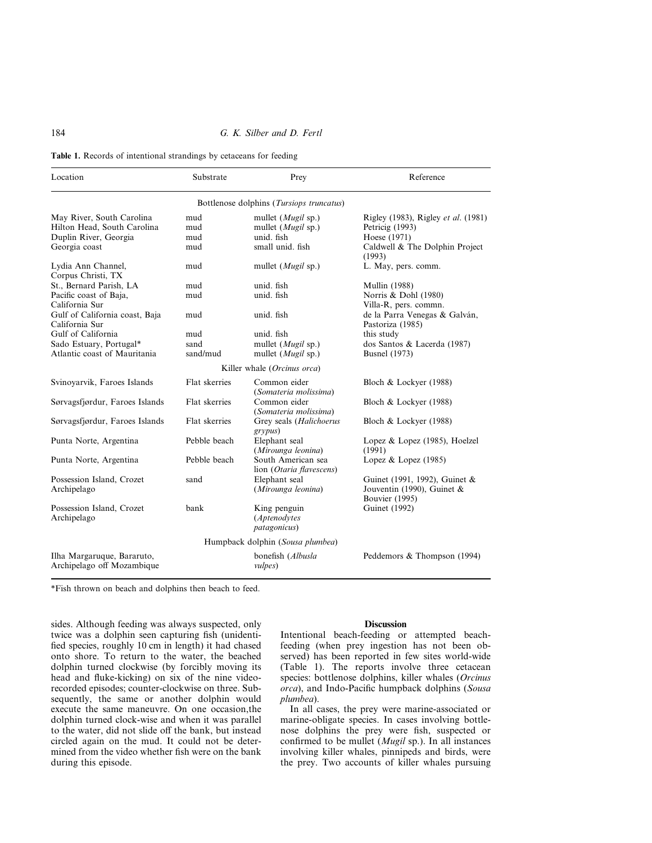# 184 *G. K. Silber and D. Fertl*

**Table 1.** Records of intentional strandings by cetaceans for feeding

| Location                                                 | Substrate     | Prey                                                 | Reference                                                                     |
|----------------------------------------------------------|---------------|------------------------------------------------------|-------------------------------------------------------------------------------|
|                                                          |               | Bottlenose dolphins (Tursiops truncatus)             |                                                                               |
| May River, South Carolina                                | mud           | mullet $(Mugil$ sp.)                                 | Rigley (1983), Rigley et al. (1981)                                           |
| Hilton Head, South Carolina                              | mud           | mullet ( <i>Mugil</i> sp.)                           | Petricig (1993)                                                               |
| Duplin River, Georgia                                    | mud           | unid. fish                                           | Hoese (1971)                                                                  |
| Georgia coast                                            | mud           | small unid. fish                                     | Caldwell & The Dolphin Project<br>(1993)                                      |
| Lydia Ann Channel,<br>Corpus Christi, TX                 | mud           | mullet $(Mugil$ sp.)                                 | L. May, pers. comm.                                                           |
| St., Bernard Parish, LA                                  | mud           | unid. fish                                           | <b>Mullin</b> (1988)                                                          |
| Pacific coast of Baja,                                   | mud           | unid. fish                                           | Norris & Dohl (1980)                                                          |
| California Sur                                           |               |                                                      | Villa-R, pers. commn.                                                         |
| Gulf of California coast, Baja<br>California Sur         | mud           | unid. fish                                           | de la Parra Venegas & Galván,<br>Pastoriza (1985)                             |
| Gulf of California                                       | mud           | unid. fish                                           | this study                                                                    |
| Sado Estuary, Portugal*                                  | sand          | mullet ( <i>Mugil</i> sp.)                           | dos Santos & Lacerda (1987)                                                   |
| Atlantic coast of Mauritania                             | sand/mud      | mullet ( <i>Mugil</i> sp.)                           | <b>Busnel</b> (1973)                                                          |
|                                                          |               | Killer whale (Orcinus orca)                          |                                                                               |
| Svinoyarvik, Faroes Islands                              | Flat skerries | Common eider<br>(Somateria molissima)                | Bloch & Lockyer (1988)                                                        |
| Sørvagsfjørdur, Faroes Islands                           | Flat skerries | Common eider<br>(Somateria molissima)                | Bloch & Lockyer (1988)                                                        |
| Sørvagsfjørdur, Faroes Islands                           | Flat skerries | Grey seals (Halichoerus<br>grypus)                   | Bloch & Lockyer (1988)                                                        |
| Punta Norte, Argentina                                   | Pebble beach  | Elephant seal<br>(Mirounga leonina)                  | Lopez & Lopez (1985), Hoelzel<br>(1991)                                       |
| Punta Norte, Argentina                                   | Pebble beach  | South American sea<br>lion (Otaria flavescens)       | Lopez & Lopez (1985)                                                          |
| Possession Island, Crozet<br>Archipelago                 | sand          | Elephant seal<br>(Mirounga leonina)                  | Guinet (1991, 1992), Guinet &<br>Jouventin (1990), Guinet &<br>Bouvier (1995) |
| Possession Island, Crozet<br>Archipelago                 | bank          | King penguin<br>(Aptenodytes<br><i>patagonicus</i> ) | <b>Guinet</b> (1992)                                                          |
|                                                          |               | Humpback dolphin (Sousa plumbea)                     |                                                                               |
| Ilha Margaruque, Bararuto,<br>Archipelago off Mozambique |               | bonefish (Albusla<br><i>vulpes</i> )                 | Peddemors & Thompson (1994)                                                   |

\*Fish thrown on beach and dolphins then beach to feed.

sides. Although feeding was always suspected, only twice was a dolphin seen capturing fish (unidentified species, roughly 10 cm in length) it had chased onto shore. To return to the water, the beached dolphin turned clockwise (by forcibly moving its head and fluke-kicking) on six of the nine videorecorded episodes; counter-clockwise on three. Subsequently, the same or another dolphin would execute the same maneuvre. On one occasion,the dolphin turned clock-wise and when it was parallel to the water, did not slide off the bank, but instead circled again on the mud. It could not be determined from the video whether fish were on the bank during this episode.

## **Discussion**

Intentional beach-feeding or attempted beachfeeding (when prey ingestion has not been observed) has been reported in few sites world-wide (Table 1). The reports involve three cetacean species: bottlenose dolphins, killer whales (*Orcinus orca*), and Indo-Pacific humpback dolphins (*Sousa plumbea*).

In all cases, the prey were marine-associated or marine-obligate species. In cases involving bottlenose dolphins the prey were fish, suspected or confirmed to be mullet (*Mugil* sp.). In all instances involving killer whales, pinnipeds and birds, were the prey. Two accounts of killer whales pursuing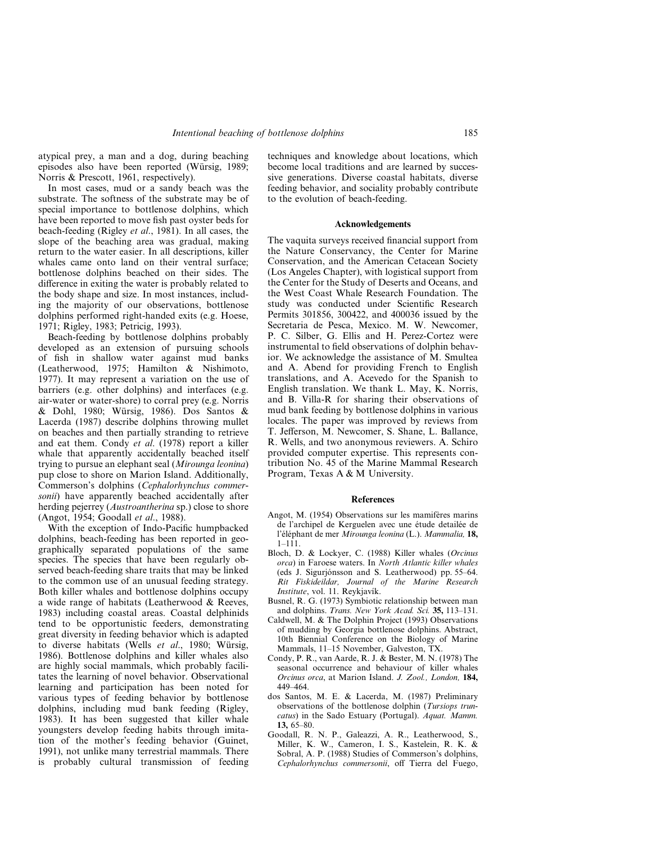atypical prey, a man and a dog, during beaching episodes also have been reported (Würsig, 1989; Norris & Prescott, 1961, respectively).

In most cases, mud or a sandy beach was the substrate. The softness of the substrate may be of special importance to bottlenose dolphins, which have been reported to move fish past oyster beds for beach-feeding (Rigley *et al*., 1981). In all cases, the slope of the beaching area was gradual, making return to the water easier. In all descriptions, killer whales came onto land on their ventral surface; bottlenose dolphins beached on their sides. The difference in exiting the water is probably related to the body shape and size. In most instances, including the majority of our observations, bottlenose dolphins performed right-handed exits (e.g. Hoese, 1971; Rigley, 1983; Petricig, 1993).

Beach-feeding by bottlenose dolphins probably developed as an extension of pursuing schools of fish in shallow water against mud banks (Leatherwood, 1975; Hamilton & Nishimoto, 1977). It may represent a variation on the use of barriers (e.g. other dolphins) and interfaces (e.g. air-water or water-shore) to corral prey (e.g. Norris & Dohl, 1980; Würsig, 1986). Dos Santos & Lacerda (1987) describe dolphins throwing mullet on beaches and then partially stranding to retrieve and eat them. Condy *et al*. (1978) report a killer whale that apparently accidentally beached itself trying to pursue an elephant seal (*Mirounga leonina*) pup close to shore on Marion Island. Additionally, Commerson's dolphins (*Cephalorhynchus commersonii*) have apparently beached accidentally after herding pejerrey (*Austroantherina* sp.) close to shore (Angot, 1954; Goodall *et al*., 1988).

With the exception of Indo-Pacific humpbacked dolphins, beach-feeding has been reported in geographically separated populations of the same species. The species that have been regularly observed beach-feeding share traits that may be linked to the common use of an unusual feeding strategy. Both killer whales and bottlenose dolphins occupy a wide range of habitats (Leatherwood & Reeves, 1983) including coastal areas. Coastal delphinids tend to be opportunistic feeders, demonstrating great diversity in feeding behavior which is adapted to diverse habitats (Wells *et al*., 1980; Würsig, 1986). Bottlenose dolphins and killer whales also are highly social mammals, which probably facilitates the learning of novel behavior. Observational learning and participation has been noted for various types of feeding behavior by bottlenose dolphins, including mud bank feeding (Rigley, 1983). It has been suggested that killer whale youngsters develop feeding habits through imitation of the mother's feeding behavior (Guinet, 1991), not unlike many terrestrial mammals. There is probably cultural transmission of feeding techniques and knowledge about locations, which become local traditions and are learned by successive generations. Diverse coastal habitats, diverse feeding behavior, and sociality probably contribute to the evolution of beach-feeding.

#### **Acknowledgements**

The vaquita surveys received financial support from the Nature Conservancy, the Center for Marine Conservation, and the American Cetacean Society (Los Angeles Chapter), with logistical support from the Center for the Study of Deserts and Oceans, and the West Coast Whale Research Foundation. The study was conducted under Scientific Research Permits 301856, 300422, and 400036 issued by the Secretaria de Pesca, Mexico. M. W. Newcomer, P. C. Silber, G. Ellis and H. Perez-Cortez were instrumental to field observations of dolphin behavior. We acknowledge the assistance of M. Smultea and A. Abend for providing French to English translations, and A. Acevedo for the Spanish to English translation. We thank L. May, K. Norris, and B. Villa-R for sharing their observations of mud bank feeding by bottlenose dolphins in various locales. The paper was improved by reviews from T. Jefferson, M. Newcomer, S. Shane, L. Ballance, R. Wells, and two anonymous reviewers. A. Schiro provided computer expertise. This represents contribution No. 45 of the Marine Mammal Research Program, Texas A & M University.

#### **References**

- Angot, M. (1954) Observations sur les mamifères marins de l'archipel de Kerguelen avec une étude detailée de l'éléphant de mer *Mirounga leonina* (L.). *Mammalia,* **18,**  $1 - 111$
- Bloch, D. & Lockyer, C. (1988) Killer whales (*Orcinus orca*) in Faroese waters. In *North Atlantic killer whales* (eds J. Sigurjónsson and S. Leatherwood) pp. 55–64. *Rit Fiskideildar, Journal of the Marine Research Institute*, vol. 11. Reykjavík.
- Busnel, R. G. (1973) Symbiotic relationship between man and dolphins. *Trans. New York Acad. Sci.* **35,** 113–131.
- Caldwell, M. & The Dolphin Project (1993) Observations of mudding by Georgia bottlenose dolphins. Abstract, 10th Biennial Conference on the Biology of Marine Mammals, 11–15 November, Galveston, TX.
- Condy, P. R., van Aarde, R. J. & Bester, M. N. (1978) The seasonal occurrence and behaviour of killer whales *Orcinus orca*, at Marion Island. *J. Zool., London,* **184,** 449–464.
- dos Santos, M. E. & Lacerda, M. (1987) Preliminary observations of the bottlenose dolphin (*Tursiops truncatus*) in the Sado Estuary (Portugal). *Aquat. Mamm.* **13,** 65–80.
- Goodall, R. N. P., Galeazzi, A. R., Leatherwood, S., Miller, K. W., Cameron, I. S., Kastelein, R. K. & Sobral, A. P. (1988) Studies of Commerson's dolphins, *Cephalorhynchus commersonii*, off Tierra del Fuego,